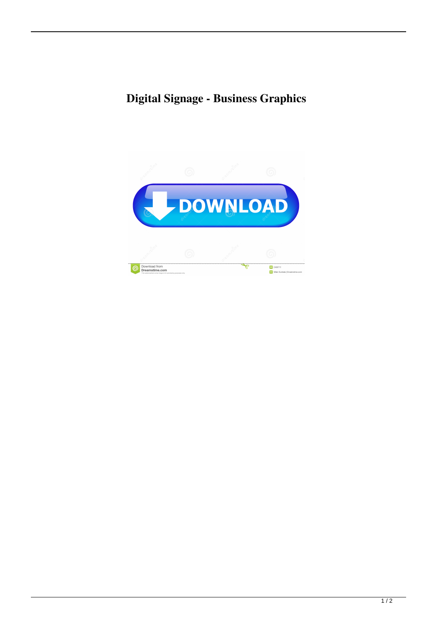## **Digital Signage - Business Graphics**